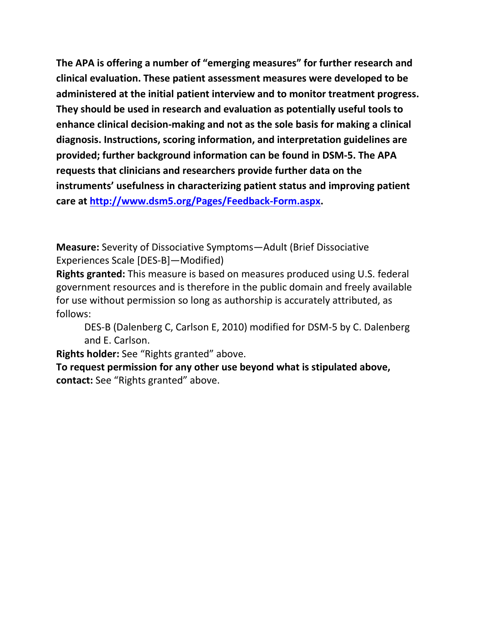**The APA is offering a number of "emerging measures" for further research and clinical evaluation. These patient assessment measures were developed to be administered at the initial patient interview and to monitor treatment progress. They should be used in research and evaluation as potentially useful tools to enhance clinical decision-making and not as the sole basis for making a clinical diagnosis. Instructions, scoring information, and interpretation guidelines are provided; further background information can be found in DSM-5. The APA requests that clinicians and researchers provide further data on the instruments' usefulness in characterizing patient status and improving patient care at [http://www.dsm5.org/Pages/Feedback-Form.aspx.](http://www.dsm5.org/Pages/Feedback-Form.aspx)**

**Measure:** Severity of Dissociative Symptoms—Adult (Brief Dissociative Experiences Scale [DES-B]—Modified)

**Rights granted:** This measure is based on measures produced using U.S. federal government resources and is therefore in the public domain and freely available for use without permission so long as authorship is accurately attributed, as follows:

DES-B (Dalenberg C, Carlson E, 2010) modified for DSM-5 by C. Dalenberg and E. Carlson.

**Rights holder:** See "Rights granted" above.

**To request permission for any other use beyond what is stipulated above, contact:** See "Rights granted" above.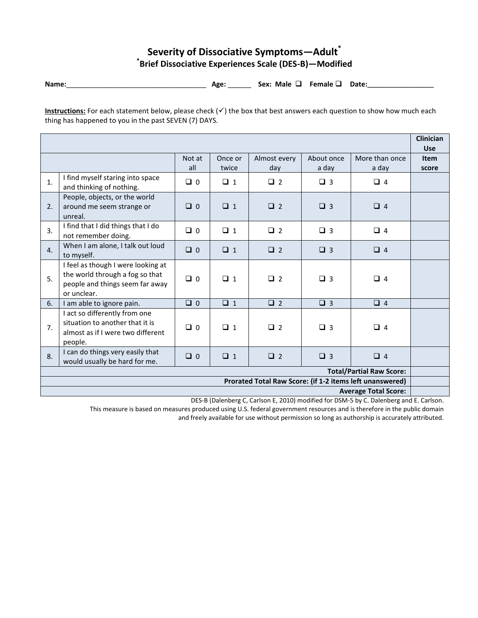## **Severity of Dissociative Symptoms—Adult\* \* Brief Dissociative Experiences Scale (DES-B)—Modified**

**Name:**\_\_\_\_\_\_\_\_\_\_\_\_\_\_\_\_\_\_\_\_\_\_\_\_\_\_\_\_\_\_\_\_\_\_\_\_ **Age:** \_\_\_\_\_\_ **Sex: Male Female Date:\_\_\_\_\_\_\_\_\_\_\_\_\_\_\_\_\_**

**Instructions:** For each statement below, please check  $(\checkmark)$  the box that best answers each question to show how much each thing has happened to you in the past SEVEN (7) DAYS.

|                                                          |                                                                                                                         |               |                  |                     |                     |                         | <b>Clinician</b><br><b>Use</b> |
|----------------------------------------------------------|-------------------------------------------------------------------------------------------------------------------------|---------------|------------------|---------------------|---------------------|-------------------------|--------------------------------|
|                                                          |                                                                                                                         | Not at<br>all | Once or<br>twice | Almost every<br>day | About once<br>a day | More than once<br>a day | <b>Item</b><br>score           |
| 1.                                                       | I find myself staring into space<br>and thinking of nothing.                                                            | $\Box$ 0      | $\Box$ 1         | $\Box$ 2            | $\Box$ 3            | $\Box$ 4                |                                |
| 2.                                                       | People, objects, or the world<br>around me seem strange or<br>unreal.                                                   | $\Box$ 0      | $\Box$ 1         | $\Box$ 2            | $\Box$ 3            | $\Box$ 4                |                                |
| 3.                                                       | I find that I did things that I do<br>not remember doing.                                                               | $\Box$ 0      | $\Box$ 1         | $\Box$ 2            | $\Box$ 3            | $\Box$ 4                |                                |
| 4.                                                       | When I am alone, I talk out loud<br>to myself.                                                                          | $\Box$ 0      | $\Box$ 1         | $\Box$ 2            | $\Box$ 3            | $\Box$ 4                |                                |
| 5.                                                       | I feel as though I were looking at<br>the world through a fog so that<br>people and things seem far away<br>or unclear. | $\Box$ 0      | $\Box$ 1         | $\Box$ 2            | $\Box$ 3            | $\Box$ 4                |                                |
| 6.                                                       | I am able to ignore pain.                                                                                               | $\Box$ 0      | $\Box$ 1         | $\Box$ 2            | $\Box$ 3            | $\Box$ 4                |                                |
| 7.                                                       | I act so differently from one<br>situation to another that it is<br>almost as if I were two different<br>people.        | $\Box$ 0      | $\Box$ 1         | $\Box$ 2            | $\Box$ 3            | $\Box$ 4                |                                |
| 8.                                                       | I can do things very easily that<br>would usually be hard for me.                                                       | $\Box$ 0      | $\Box$ 1         | $\Box$ 2            | $\Box$ 3            | $\Box$ 4                |                                |
| <b>Total/Partial Raw Score:</b>                          |                                                                                                                         |               |                  |                     |                     |                         |                                |
| Prorated Total Raw Score: (if 1-2 items left unanswered) |                                                                                                                         |               |                  |                     |                     |                         |                                |
| <b>Average Total Score:</b>                              |                                                                                                                         |               |                  |                     |                     |                         |                                |

DES-B (Dalenberg C, Carlson E, 2010) modified for DSM-5 by C. Dalenberg and E. Carlson.

This measure is based on measures produced using U.S. federal government resources and is therefore in the public domain and freely available for use without permission so long as authorship is accurately attributed.